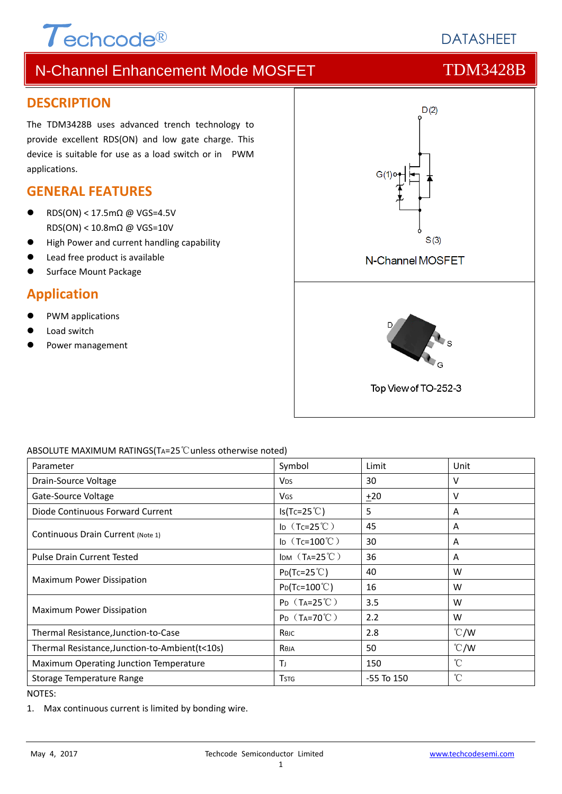# $\tau$ <sub>echcode®</sub>

# **DATASHEFT**

# N-Channel Enhancement Mode MOSFET TOM3428B

### **DESCRIPTION**

The TDM3428B uses advanced trench technology to provide excellent RDS(ON) and low gate charge. This device is suitable for use as a load switch or in PWM applications.

## **GENERAL FEATURES**

- RDS(ON) < 17.5mΩ @ VGS=4.5V RDS(ON) < 10.8mΩ @ VGS=10V
- High Power and current handling capability
- Lead free product is available
- Surface Mount Package

### **Application**

- PWM applications
- Load switch
- Power management



#### ABSOLUTE MAXIMUM RATINGS(TA=25℃unless otherwise noted)

| Parameter                                       | Symbol                       | Limit          | Unit            |
|-------------------------------------------------|------------------------------|----------------|-----------------|
| Drain-Source Voltage                            | <b>V<sub>DS</sub></b>        | 30             | v               |
| Gate-Source Voltage                             | <b>V<sub>GS</sub></b>        | $+20$          | v               |
| Diode Continuous Forward Current                | $Is(Tc=25^{\circ}C)$         | 5              | A               |
| Continuous Drain Current (Note 1)               | ID $(Tc=25^{\circ}C)$        | 45             | A               |
|                                                 | ID $(Tc=100^{\circ}C)$       | 30             | A               |
| <b>Pulse Drain Current Tested</b>               | IDM $(T_A=25^{\circ}C)$      | 36             | A               |
| Maximum Power Dissipation                       | $P_{D}(Tc=25^{\circ}C)$      | 40             | W               |
|                                                 | $Po(Tc=100^{\circ}C)$        | 16             | W               |
| Maximum Power Dissipation                       | $P_D$ (T <sub>A</sub> =25°C) | 3.5            | W               |
|                                                 | $P_D$ (T <sub>A</sub> =70°C) | 2.2            | W               |
| Thermal Resistance, Junction-to-Case            | Rejc                         | 2.8            | $\degree$ C/W   |
| Thermal Resistance, Junction-to-Ambient (t<10s) | Reja                         | 50             | $\degree$ C/W   |
| Maximum Operating Junction Temperature          | T                            | 150            | °C              |
| Storage Temperature Range                       | <b>T</b> <sub>STG</sub>      | $-55$ To $150$ | $\rm ^{\circ}C$ |

NOTES:

1. Max continuous current is limited by bonding wire.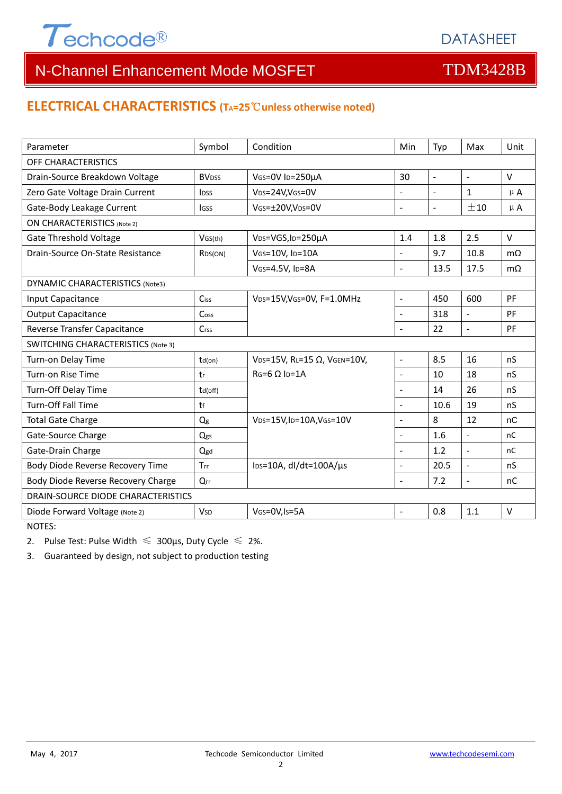

## **ELECTRICAL CHARACTERISTICS (TA=25**℃**unless otherwise noted)**

| Parameter                                 | Symbol                  | Condition                   | Min                      | Typ            | Max                      | Unit          |  |  |
|-------------------------------------------|-------------------------|-----------------------------|--------------------------|----------------|--------------------------|---------------|--|--|
| OFF CHARACTERISTICS                       |                         |                             |                          |                |                          |               |  |  |
| Drain-Source Breakdown Voltage            | <b>BV<sub>DSS</sub></b> | VGS=0V ID=250µA             | 30                       | $\blacksquare$ | $\overline{\phantom{a}}$ | $\vee$        |  |  |
| Zero Gate Voltage Drain Current           | <b>IDSS</b>             | VDS=24V,VGS=0V              | $\blacksquare$           |                | $\mathbf{1}$             | $\mu$ A       |  |  |
| Gate-Body Leakage Current                 | <b>IGSS</b>             | VGS=±20V,VDS=0V             | $\overline{a}$           | $\blacksquare$ | ±10                      | $\mu$ A       |  |  |
| <b>ON CHARACTERISTICS (Note 2)</b>        |                         |                             |                          |                |                          |               |  |  |
| <b>Gate Threshold Voltage</b>             | VGS(th)                 | VDS=VGS, ID=250µA           | 1.4                      | 1.8            | 2.5                      | $\vee$        |  |  |
| Drain-Source On-State Resistance          | R <sub>DS</sub> (ON)    | VGS=10V, ID=10A             |                          | 9.7            | 10.8                     | $m\Omega$     |  |  |
|                                           |                         | VGS=4.5V, ID=8A             | $\overline{a}$           | 13.5           | 17.5                     | $m\Omega$     |  |  |
| DYNAMIC CHARACTERISTICS (Note3)           |                         |                             |                          |                |                          |               |  |  |
| Input Capacitance                         | <b>Ciss</b>             | VDS=15V, VGS=0V, F=1.0MHz   | $\overline{\phantom{a}}$ | 450            | 600                      | PF            |  |  |
| <b>Output Capacitance</b>                 | Coss                    |                             | $\overline{a}$           | 318            | $\frac{1}{2}$            | PF            |  |  |
| Reverse Transfer Capacitance              | $C$ rss                 |                             | $\overline{a}$           | 22             | $\equiv$                 | PF            |  |  |
| <b>SWITCHING CHARACTERISTICS (Note 3)</b> |                         |                             |                          |                |                          |               |  |  |
| Turn-on Delay Time                        | $td($ on $)$            | VDS=15V, RL=15 Ω, VGEN=10V, | $\overline{a}$           | 8.5            | 16                       | nS            |  |  |
| Turn-on Rise Time                         | tr                      | $RG=6$ O $In=1A$            | $\overline{a}$           | 10             | 18                       | nS            |  |  |
| Turn-Off Delay Time                       | td(off)                 |                             | ٠                        | 14             | 26                       | nS            |  |  |
| Turn-Off Fall Time                        | tf                      |                             |                          | 10.6           | 19                       | nS            |  |  |
| <b>Total Gate Charge</b>                  | $Q_g$                   | VDS=15V,ID=10A,VGS=10V      |                          | 8              | 12                       | nC            |  |  |
| Gate-Source Charge                        | Qgs                     |                             | $\overline{a}$           | 1.6            | $\overline{\phantom{a}}$ | <sub>nC</sub> |  |  |
| Gate-Drain Charge                         | Qgd                     |                             | $\overline{a}$           | 1.2            | $\overline{a}$           | <sub>nC</sub> |  |  |
| Body Diode Reverse Recovery Time          | Trr                     | lps=10A, dl/dt=100A/µs      | $\overline{a}$           | 20.5           | $\overline{a}$           | nS            |  |  |
| Body Diode Reverse Recovery Charge        | Qrr                     |                             | $\overline{a}$           | 7.2            | $\frac{1}{2}$            | nC            |  |  |
| DRAIN-SOURCE DIODE CHARACTERISTICS        |                         |                             |                          |                |                          |               |  |  |
| Diode Forward Voltage (Note 2)            | <b>V<sub>SD</sub></b>   | VGS=0V, Is=5A               | $\overline{a}$           | 0.8            | 1.1                      | $\vee$        |  |  |

NOTES:

2. Pulse Test: Pulse Width  $\leq 300$ μs, Duty Cycle  $\leq 2\%$ .

3. Guaranteed by design, not subject to production testing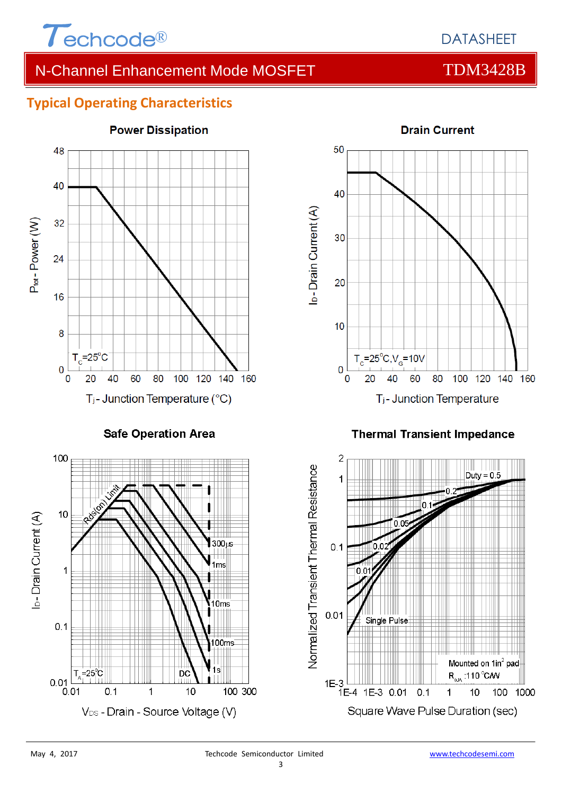

# **Typical Operating Characteristics**



# **Power Dissipation**



#### **Thermal Transient Impedance**



 $0.01$ 

 $0.01$ 

 $T_{\rm A} = 25^{\circ}C$ 

 $0.1$ 

00ms

100 300

İs

DC

 $\mathbf{1}$ 

V<sub>DS</sub> - Drain - Source Voltage (V)

 $10$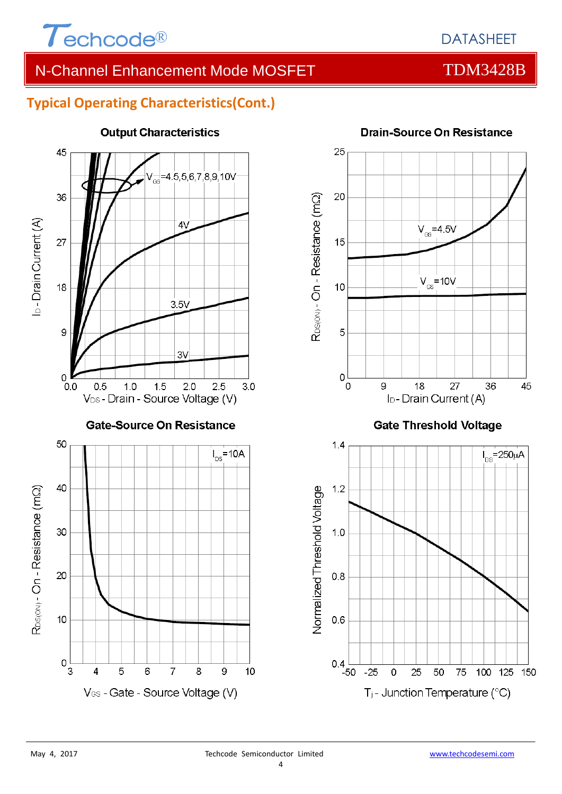

# **Typical Operating Characteristics(Cont.)**



### **Output Characteristics**



### **Drain-Source On Resistance**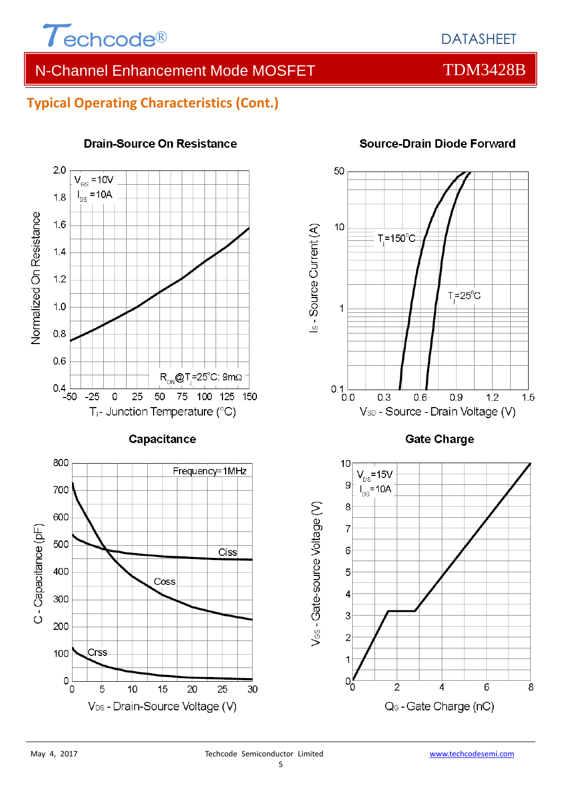

# **Typical Operating Characteristics (Cont.)**



### **Drain-Source On Resistance**



# **Source-Drain Diode Forward**

**Gate Charge** 

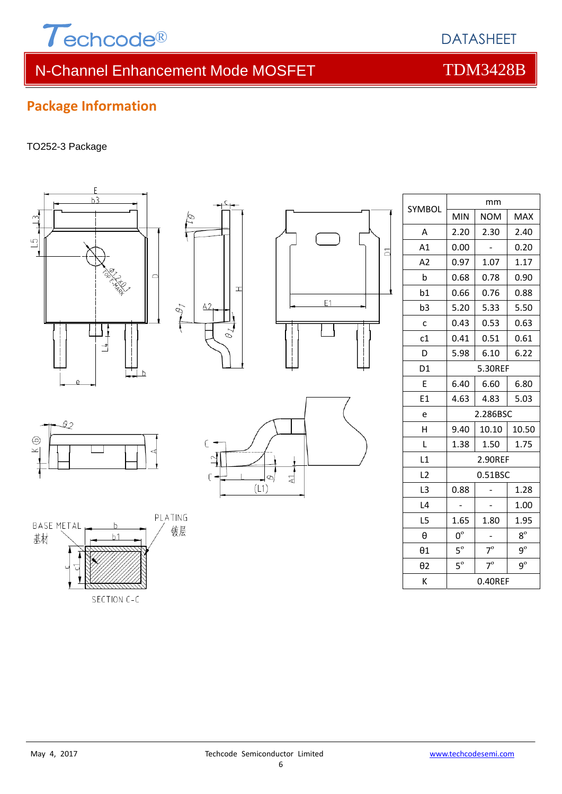

# **Package Information**

#### TO252-3 Package

Q2

BASE METAL

基材

 $\odot$ 

 $\overline{\mathbf{X}}$ 



PLATING

镀层

ŀ

 $b1$ 

SECTION C-C



 $E1$ 

| SYMBOL         | mm          |            |             |  |
|----------------|-------------|------------|-------------|--|
|                | <b>MIN</b>  | <b>NOM</b> | <b>MAX</b>  |  |
| A              | 2.20        | 2.30       | 2.40        |  |
| A1             | 0.00        |            | 0.20        |  |
| A2             | 0.97        | 1.07       | 1.17        |  |
| $\mathbf b$    | 0.68        | 0.78       | 0.90        |  |
| b1             | 0.66        | 0.76       | 0.88        |  |
| b3             | 5.20        | 5.33       | 5.50        |  |
| C              | 0.43        | 0.53       | 0.63        |  |
| c1             | 0.41        | 0.51       | 0.61        |  |
| D              | 5.98        | 6.10       | 6.22        |  |
| D <sub>1</sub> | 5.30REF     |            |             |  |
| E              | 6.40        | 6.60       | 6.80        |  |
| E1             | 4.63        | 4.83       | 5.03        |  |
| e              | 2.286BSC    |            |             |  |
| Η              | 9.40        | 10.10      | 10.50       |  |
| L              | 1.38        | 1.50       | 1.75        |  |
| L1             | 2.90REF     |            |             |  |
| L2             | 0.51BSC     |            |             |  |
| L <sub>3</sub> | 0.88        |            | 1.28        |  |
| L4             |             |            | 1.00        |  |
| L5             | 1.65        | 1.80       | 1.95        |  |
| $\theta$       | $0^{\circ}$ |            | $8^{\circ}$ |  |
| $\theta$ 1     | $5^{\circ}$ | $7^\circ$  | $9^{\circ}$ |  |
| $\theta$ 2     | $5^\circ$   | $7^\circ$  | $9^{\circ}$ |  |
| К              | 0.40REF     |            |             |  |

 $\overline{\phantom{0}}$ 

DATASHEET